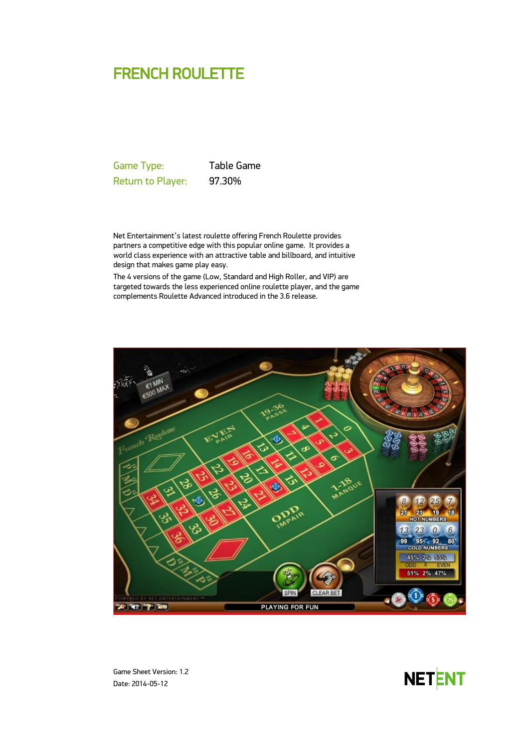# FRENCH ROULETTE

Game Type: Table Game Return to Player: 97.30%

Net Entertainment's latest roulette offering French Roulette provides partners a competitive edge with this popular online game. It provides a world class experience with an attractive table and billboard, and intuitive design that makes game play easy.

The 4 versions of the game (Low, Standard and High Roller, and VIP) are targeted towards the less experienced online roulette player, and the game complements Roulette Advanced introduced in the 3.6 release.



Game Sheet Version: 1.2 Date: 2014-05-12

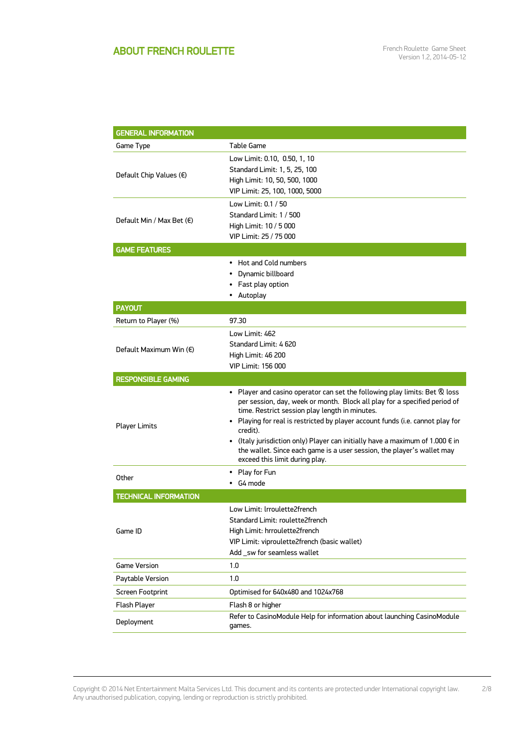## ABOUT FRENCH ROULETTE

2/8

| <b>GENERAL INFORMATION</b>         |                                                                                                                                                                                                                                                                                                                                                                                                                                                                                                                          |  |  |
|------------------------------------|--------------------------------------------------------------------------------------------------------------------------------------------------------------------------------------------------------------------------------------------------------------------------------------------------------------------------------------------------------------------------------------------------------------------------------------------------------------------------------------------------------------------------|--|--|
| Game Type                          | Table Game                                                                                                                                                                                                                                                                                                                                                                                                                                                                                                               |  |  |
| Default Chip Values (€)            | Low Limit: 0.10, 0.50, 1, 10<br>Standard Limit: 1, 5, 25, 100<br>High Limit: 10, 50, 500, 1000<br>VIP Limit: 25, 100, 1000, 5000                                                                                                                                                                                                                                                                                                                                                                                         |  |  |
| Default Min / Max Bet $(\epsilon)$ | Low Limit: 0.1 / 50<br>Standard Limit: 1 / 500<br>High Limit: 10 / 5 000<br>VIP Limit: 25 / 75 000                                                                                                                                                                                                                                                                                                                                                                                                                       |  |  |
| <b>GAME FEATURES</b>               |                                                                                                                                                                                                                                                                                                                                                                                                                                                                                                                          |  |  |
|                                    | • Hot and Cold numbers<br>Dynamic billboard<br>• Fast play option<br>• Autoplay                                                                                                                                                                                                                                                                                                                                                                                                                                          |  |  |
| <b>PAYOUT</b>                      |                                                                                                                                                                                                                                                                                                                                                                                                                                                                                                                          |  |  |
| Return to Player (%)               | 97.30                                                                                                                                                                                                                                                                                                                                                                                                                                                                                                                    |  |  |
| Default Maximum Win (€)            | Low Limit: 462<br>Standard Limit: 4620<br>High Limit: 46 200<br><b>VIP Limit: 156 000</b>                                                                                                                                                                                                                                                                                                                                                                                                                                |  |  |
| <b>RESPONSIBLE GAMING</b>          |                                                                                                                                                                                                                                                                                                                                                                                                                                                                                                                          |  |  |
| <b>Player Limits</b>               | • Player and casino operator can set the following play limits: Bet $\mathcal R$ loss<br>per session, day, week or month. Block all play for a specified period of<br>time. Restrict session play length in minutes.<br>• Playing for real is restricted by player account funds (i.e. cannot play for<br>credit).<br>• (Italy jurisdiction only) Player can initially have a maximum of 1.000 $\epsilon$ in<br>the wallet. Since each game is a user session, the player's wallet may<br>exceed this limit during play. |  |  |
| Other                              | • Play for Fun<br>$\cdot$ G4 mode                                                                                                                                                                                                                                                                                                                                                                                                                                                                                        |  |  |
| <b>TECHNICAL INFORMATION</b>       |                                                                                                                                                                                                                                                                                                                                                                                                                                                                                                                          |  |  |
| Game ID                            | Low Limit: Irroulette2french<br>Standard Limit: roulette2french<br>High Limit: hrroulette2french<br>VIP Limit: viproulette2french (basic wallet)<br>Add _sw for seamless wallet                                                                                                                                                                                                                                                                                                                                          |  |  |
| <b>Game Version</b>                | 1.0                                                                                                                                                                                                                                                                                                                                                                                                                                                                                                                      |  |  |
| Paytable Version                   | 1.0                                                                                                                                                                                                                                                                                                                                                                                                                                                                                                                      |  |  |
| Screen Footprint                   | Optimised for 640x480 and 1024x768                                                                                                                                                                                                                                                                                                                                                                                                                                                                                       |  |  |
| Flash Player                       | Flash 8 or higher                                                                                                                                                                                                                                                                                                                                                                                                                                                                                                        |  |  |
| Deployment                         | Refer to CasinoModule Help for information about launching CasinoModule<br>games.                                                                                                                                                                                                                                                                                                                                                                                                                                        |  |  |

Copyright © 2014 Net Entertainment Malta Services Ltd. This document and its contents are protected under International copyright law. Any unauthorised publication, copying, lending or reproduction is strictly prohibited.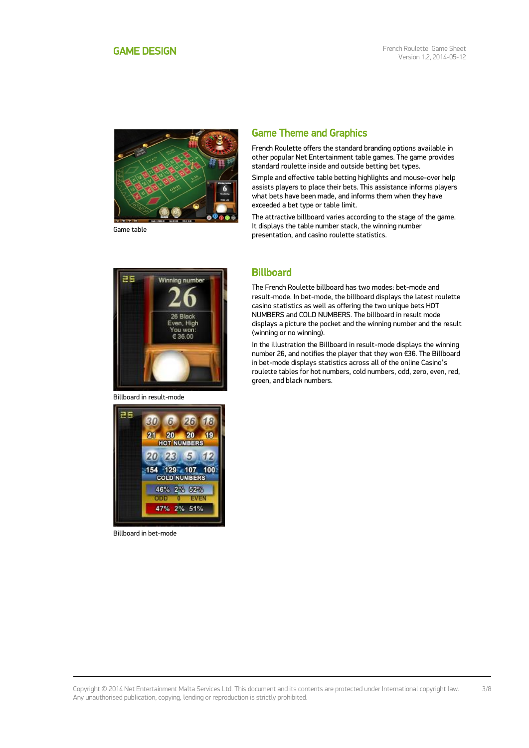<span id="page-2-0"></span>

Game table

## Game Theme and Graphics

French Roulette offers the standard branding options available in other popular Net Entertainment table games. The game provides standard roulette inside and outside betting bet types.

Simple and effective table betting highlights and mouse-over help assists players to place their bets. This assistance informs players what bets have been made, and informs them when they have exceeded a bet type or table limit.

The attractive billboard varies according to the stage of the game. It displays the table number stack, the winning number presentation, and casino roulette statistics.



Billboard in result-mode



Billboard in bet-mode

## **Billboard**

The French Roulette billboard has two modes: bet-mode and result-mode. In bet-mode, the billboard displays the latest roulette casino statistics as well as offering the two unique bets HOT NUMBERS and COLD NUMBERS. The billboard in result mode displays a picture the pocket and the winning number and the result (winning or no winning).

In the illustration the Billboard in result-mode displays the winning number 26, and notifies the player that they won €36. The Billboard in bet-mode displays statistics across all of the online Casino's roulette tables for hot numbers, cold numbers, odd, zero, even, red, green, and black numbers.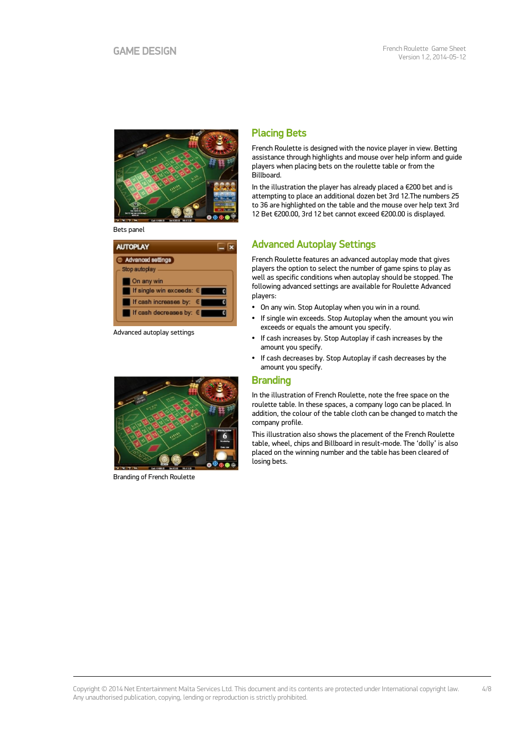

Bets panel

| <b>AUTOPLAY</b>                                        |  |
|--------------------------------------------------------|--|
| Advanced settings<br>Stop autoplay                     |  |
| On any win<br>  If single win exceeds: €               |  |
| If cash increases by: $\in$<br>If cash decreases by: € |  |

Advanced autoplay settings



Branding of French Roulette

## Placing Bets

French Roulette is designed with the novice player in view. Betting assistance through highlights and mouse over help inform and guide players when placing bets on the roulette table or from the Billboard.

In the illustration the player has already placed a €200 bet and is attempting to place an additional dozen bet 3rd 12.The numbers 25 to 36 are highlighted on the table and the mouse over help text 3rd 12 Bet €200.00, 3rd 12 bet cannot exceed €200.00 is displayed.

## Advanced Autoplay Settings

French Roulette features an advanced autoplay mode that gives players the option to select the number of game spins to play as well as specific conditions when autoplay should be stopped. The following advanced settings are available for Roulette Advanced players:

- On any win. Stop Autoplay when you win in a round.
- If single win exceeds. Stop Autoplay when the amount you win exceeds or equals the amount you specify.
- If cash increases by. Stop Autoplay if cash increases by the amount you specify.
- If cash decreases by. Stop Autoplay if cash decreases by the amount you specify.

### **Branding**

In the illustration of French Roulette, note the free space on the roulette table. In these spaces, a company logo can be placed. In addition, the colour of the table cloth can be changed to match the company profile.

This illustration also shows the placement of the French Roulette table, wheel, chips and Billboard in result-mode. The 'dolly' is also placed on the winning number and the table has been cleared of losing bets.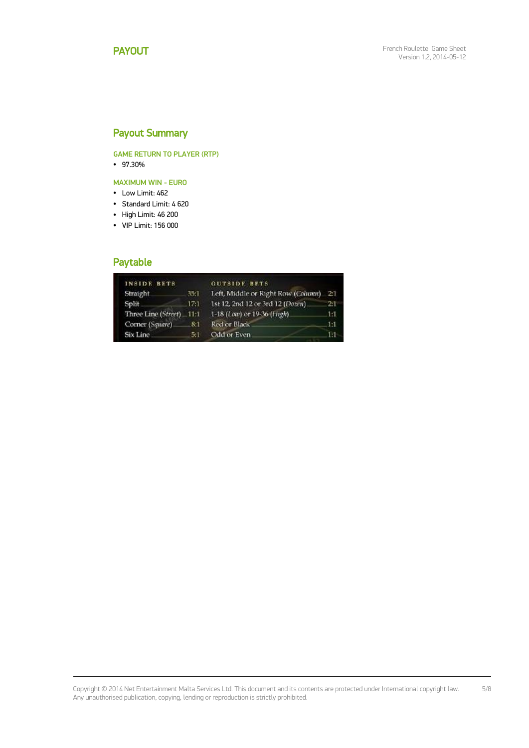## Payout Summary

GAME RETURN TO PLAYER (RTP)

97.30%

MAXIMUM WIN - EURO

- Low Limit: 462
- Standard Limit: 4 620
- High Limit: 46 200
- VIP Limit: 156 000

## Paytable

| <b>INSIDE BETS</b>       |         | <b>OUTSIDE BETS</b>                    |     |
|--------------------------|---------|----------------------------------------|-----|
| Straight                 | 35:1    | Left, Middle or Right Row (Column) 2:1 |     |
| Split_                   | $-17:1$ | 1st 12, 2nd 12 or 3rd 12 (Dozen).      | 21  |
| Three Line (Street) 11:1 |         | 1-18 (Low) or 19-36 (High).            | 1:1 |
| Corner (Square)          | 8:1     | Red or Black                           | 1:1 |
| Six Line                 | 5:1     | Odd or Even                            | 11  |

Copyright © 2014 Net Entertainment Malta Services Ltd. This document and its contents are protected under International copyright law. Any unauthorised publication, copying, lending or reproduction is strictly prohibited. 5/8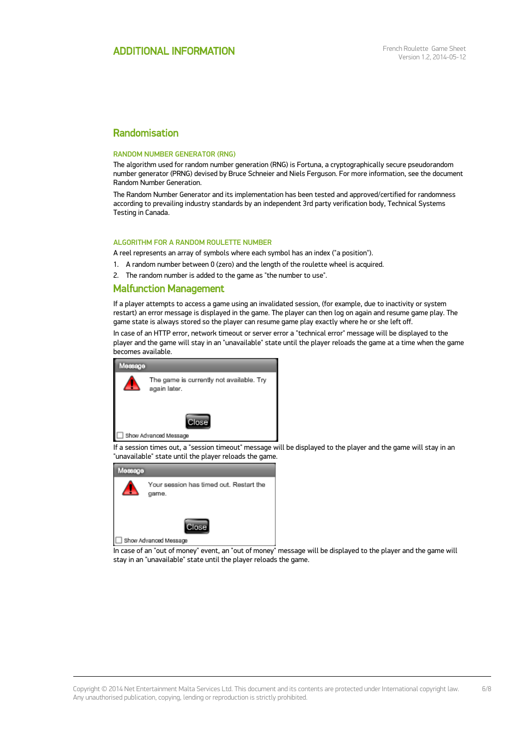### Randomisation

#### RANDOM NUMBER GENERATOR (RNG)

The algorithm used for random number generation (RNG) is Fortuna, a cryptographically secure pseudorandom number generator (PRNG) devised by Bruce Schneier and Niels Ferguson. For more information, see the document Random Number Generation.

The Random Number Generator and its implementation has been tested and approved/certified for randomness according to prevailing industry standards by an independent 3rd party verification body, Technical Systems Testing in Canada.

### ALGORITHM FOR A RANDOM ROULETTE NUMBER

A reel represents an array of symbols where each symbol has an index ("a position").

- 1. A random number between 0 (zero) and the length of the roulette wheel is acquired.
- 2. The random number is added to the game as "the number to use".

### Malfunction Management

If a player attempts to access a game using an invalidated session, (for example, due to inactivity or system restart) an error message is displayed in the game. The player can then log on again and resume game play. The game state is always stored so the player can resume game play exactly where he or she left off.

In case of an HTTP error, network timeout or server error a "technical error" message will be displayed to the player and the game will stay in an "unavailable" state until the player reloads the game at a time when the game becomes available.



If a session times out, a "session timeout" message will be displayed to the player and the game will stay in an "unavailable" state until the player reloads the game.



In case of an "out of money" event, an "out of money" message will be displayed to the player and the game will stay in an "unavailable" state until the player reloads the game.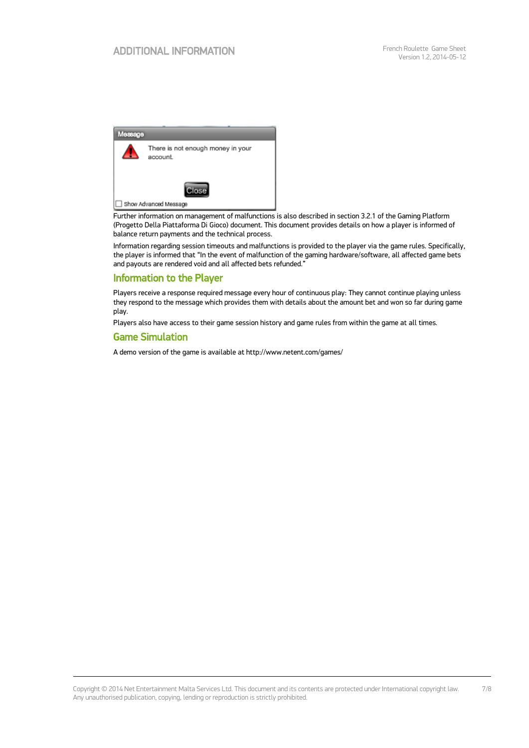

Further information on management of malfunctions is also described in section 3.2.1 of the Gaming Platform (Progetto Della Piattaforma Di Gioco) document. This document provides details on how a player is informed of balance return payments and the technical process.

Information regarding session timeouts and malfunctions is provided to the player via the game rules. Specifically, the player is informed that "In the event of malfunction of the gaming hardware/software, all affected game bets and payouts are rendered void and all affected bets refunded."

### Information to the Player

Players receive a response required message every hour of continuous play: They cannot continue playing unless they respond to the message which provides them with details about the amount bet and won so far during game play.

Players also have access to their game session history and game rules from within the game at all times.

### Game Simulation

A demo version of the game is available at http://www.netent.com/games/